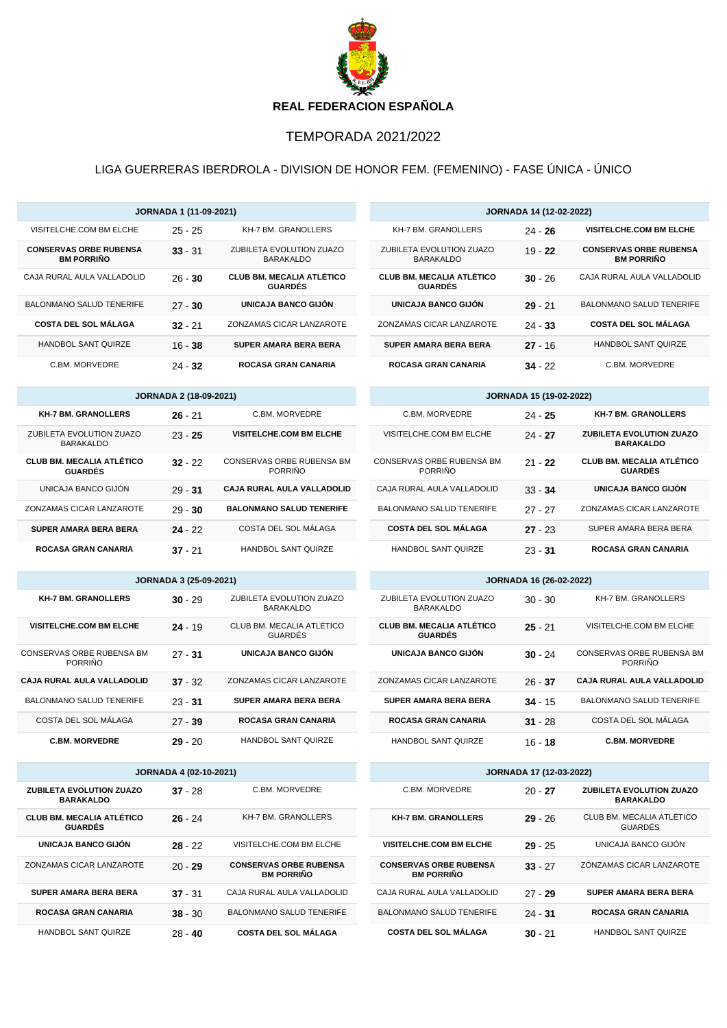

## TEMPORADA 2021/2022

## LIGA GUERRERAS IBERDROLA - DIVISION DE HONOR FEM. (FEMENINO) - FASE ÚNICA - ÚNICO

| JORNADA 1 (11-09-2021)                             |                               | <b>JORNADA 14 (12-02-2022)</b>                     |                                                    |                                |                                                    |  |  |
|----------------------------------------------------|-------------------------------|----------------------------------------------------|----------------------------------------------------|--------------------------------|----------------------------------------------------|--|--|
| VISITELCHE.COM BM ELCHE                            | $25 - 25$                     | KH-7 BM. GRANOLLERS                                | KH-7 BM. GRANOLLERS                                | $24 - 26$                      | <b>VISITELCHE.COM BM ELCHE</b>                     |  |  |
| <b>CONSERVAS ORBE RUBENSA</b><br><b>BM PORRINO</b> | $33 - 31$                     | ZUBILETA EVOLUTION ZUAZO<br>BARAKALDO              | ZUBILETA EVOLUTION ZUAZO<br><b>BARAKALDO</b>       | $19 - 22$                      | <b>CONSERVAS ORBE RUBENSA</b><br><b>BM PORRIÑO</b> |  |  |
| CAJA RURAL AULA VALLADOLID                         | $26 - 30$                     | <b>CLUB BM. MECALIA ATLÉTICO</b><br><b>GUARDÉS</b> | <b>CLUB BM. MECALIA ATLÉTICO</b><br><b>GUARDÉS</b> | $30 - 26$                      | CAJA RURAL AULA VALLADOLID                         |  |  |
| <b>BALONMANO SALUD TENERIFE</b>                    | $27 - 30$                     | UNICAJA BANCO GIJÓN                                | UNICAJA BANCO GIJÓN                                | $29 - 21$                      | <b>BALONMANO SALUD TENERIFE</b>                    |  |  |
| <b>COSTA DEL SOL MÁLAGA</b>                        | $32 - 21$                     | ZONZAMAS CICAR LANZAROTE                           | ZONZAMAS CICAR LANZAROTE                           | $24 - 33$                      | <b>COSTA DEL SOL MÁLAGA</b>                        |  |  |
| HANDBOL SANT QUIRZE                                | $16 - 38$                     | SUPER AMARA BERA BERA                              | SUPER AMARA BERA BERA                              | $27 - 16$                      | HANDBOL SANT QUIRZE                                |  |  |
| C.BM. MORVEDRE                                     | 24 - 32                       | ROCASA GRAN CANARIA                                | ROCASA GRAN CANARIA                                | $34 - 22$                      | C.BM. MORVEDRE                                     |  |  |
|                                                    | <b>JORNADA 2 (18-09-2021)</b> |                                                    |                                                    | <b>JORNADA 15 (19-02-2022)</b> |                                                    |  |  |
| <b>KH-7 BM. GRANOLLERS</b>                         | $26 - 21$                     | C.BM. MORVEDRE                                     | C.BM. MORVEDRE                                     | 24 - 25                        | <b>KH-7 BM. GRANOLLERS</b>                         |  |  |
| ZUBILETA EVOLUTION ZUAZO<br><b>BARAKALDO</b>       | $23 - 25$                     | VISITELCHE.COM BM ELCHE                            | VISITELCHE.COM BM ELCHE                            | $24 - 27$                      | ZUBILETA EVOLUTION ZUAZO<br><b>BARAKALDO</b>       |  |  |
| <b>CLUB BM. MECALIA ATLÉTICO</b><br><b>GUARDÉS</b> | $32 - 22$                     | CONSERVAS ORBE RUBENSA BM<br><b>PORRIÑO</b>        | CONSERVAS ORBE RUBENSA BM<br>PORRIÑO               | $21 - 22$                      | <b>CLUB BM. MECALIA ATLÉTICO</b><br><b>GUARDÉS</b> |  |  |
| UNICAJA BANCO GIJÓN                                | $29 - 31$                     | CAJA RURAL AULA VALLADOLID                         | CAJA RURAL AULA VALLADOLID                         | $33 - 34$                      | UNICAJA BANCO GIJÓN                                |  |  |
| ZONZAMAS CICAR LANZAROTE                           | $29 - 30$                     | <b>BALONMANO SALUD TENERIFE</b>                    | BALONMANO SALUD TENERIFE                           | $27 - 27$                      | ZONZAMAS CICAR LANZAROTE                           |  |  |
| <b>SUPER AMARA BERA BERA</b>                       | $24 - 22$                     | COSTA DEL SOL MALAGA                               | <b>COSTA DEL SOL MALAGA</b>                        | $27 - 23$                      | SUPER AMARA BERA BERA                              |  |  |
| <b>ROCASA GRAN CANARIA</b>                         | $37 - 21$                     | HANDBOL SANT QUIRZE                                | HANDBOL SANT QUIRZE                                | $23 - 31$                      | <b>ROCASA GRAN CANARIA</b>                         |  |  |
|                                                    | <b>JORNADA 3 (25-09-2021)</b> |                                                    |                                                    | JORNADA 16 (26-02-2022)        |                                                    |  |  |
| <b>KH-7 BM. GRANOLLERS</b>                         | $30 - 29$                     | ZUBILETA EVOLUTION ZUAZO<br><b>BARAKALDO</b>       | ZUBILETA EVOLUTION ZUAZO<br><b>BARAKALDO</b>       | $30 - 30$                      | KH-7 BM. GRANOLLERS                                |  |  |
| <b>VISITELCHE.COM BM ELCHE</b>                     | $24 - 19$                     | CLUB BM. MECALIA ATLÉTICO<br><b>GUARDÉS</b>        | <b>CLUB BM. MECALIA ATLÉTICO</b><br><b>GUARDÉS</b> | $25 - 21$                      | VISITELCHE.COM BM ELCHE                            |  |  |
| CONSERVAS ORBE RUBENSA BM<br><b>PORRINO</b>        | $27 - 31$                     | UNICAJA BANCO GIJÓN                                | UNICAJA BANCO GIJÓN                                | $30 - 24$                      | CONSERVAS ORBE RUBENSA BM<br><b>PORRIÑO</b>        |  |  |
| CAJA RURAL AULA VALLADOLID                         | $37 - 32$                     | ZONZAMAS CICAR LANZAROTE                           | ZONZAMAS CICAR LANZAROTE                           | $26 - 37$                      | CAJA RURAL AULA VALLADOLID                         |  |  |
| BALONMANO SALUD TENERIFE                           | $23 - 31$                     | SUPER AMARA BERA BERA                              | <b>SUPER AMARA BERA BERA</b>                       | $34 - 15$                      | <b>BALONMANO SALUD TENERIFE</b>                    |  |  |
| COSTA DEL SOL MÁLAGA                               | $27 - 39$                     | <b>ROCASA GRAN CANARIA</b>                         | <b>ROCASA GRAN CANARIA</b>                         | $31 - 28$                      | COSTA DEL SOL MALAGA                               |  |  |
| <b>C.BM. MORVEDRE</b>                              | $29 - 20$                     | <b>HANDBOL SANT QUIRZE</b>                         | <b>HANDBOL SANT QUIRZE</b>                         | $16 - 18$                      | <b>C.BM. MORVEDRE</b>                              |  |  |
|                                                    | <b>JORNADA 4 (02-10-2021)</b> |                                                    |                                                    | JORNADA 17 (12-03-2022)        |                                                    |  |  |
| ZUBILETA EVOLUTION ZUAZO<br><b>BARAKALDO</b>       | $37 - 28$                     | C.BM. MORVEDRE                                     | C.BM. MORVEDRE                                     | $20 - 27$                      | ZUBILETA EVOLUTION ZUAZO<br><b>BARAKALDO</b>       |  |  |
| <b>CLUB BM. MECALIA ATLÉTICO</b><br><b>GUARDÉS</b> | $26 - 24$                     | KH-7 BM. GRANOLLERS                                | <b>KH-7 BM. GRANOLLERS</b>                         | $29 - 26$                      | CLUB BM. MECALIA ATLÉTICO<br><b>GUARDÉS</b>        |  |  |
| UNICAJA BANCO GIJÓN                                | 28 - 22                       | VISITELCHE.COM BM ELCHE                            | VISITELCHE.COM BM ELCHE                            | $29 - 25$                      | UNICAJA BANCO GIJÓN                                |  |  |
| ZONZAMAS CICAR LANZAROTE                           | $20 - 29$                     | <b>CONSERVAS ORBE RUBENSA</b><br><b>BM PORRIÑO</b> | <b>CONSERVAS ORBE RUBENSA</b><br><b>BM PORRIÑO</b> | $33 - 27$                      | ZONZAMAS CICAR LANZAROTE                           |  |  |
| SUPER AMARA BERA BERA                              | $37 - 31$                     | CAJA RURAL AULA VALLADOLID                         | CAJA RURAL AULA VALLADOLID                         | $27 - 29$                      | SUPER AMARA BERA BERA                              |  |  |
| <b>ROCASA GRAN CANARIA</b>                         | $38 - 30$                     | BALONMANO SALUD TENERIFE                           | BALONMANO SALUD TENERIFE                           | $24 - 31$                      | <b>ROCASA GRAN CANARIA</b>                         |  |  |
| HANDBOL SANT QUIRZE                                | 28 - 40                       | <b>COSTA DEL SOL MÁLAGA</b>                        | <b>COSTA DEL SOL MÁLAGA</b>                        | $30 - 21$                      | HANDBOL SANT QUIRZE                                |  |  |

I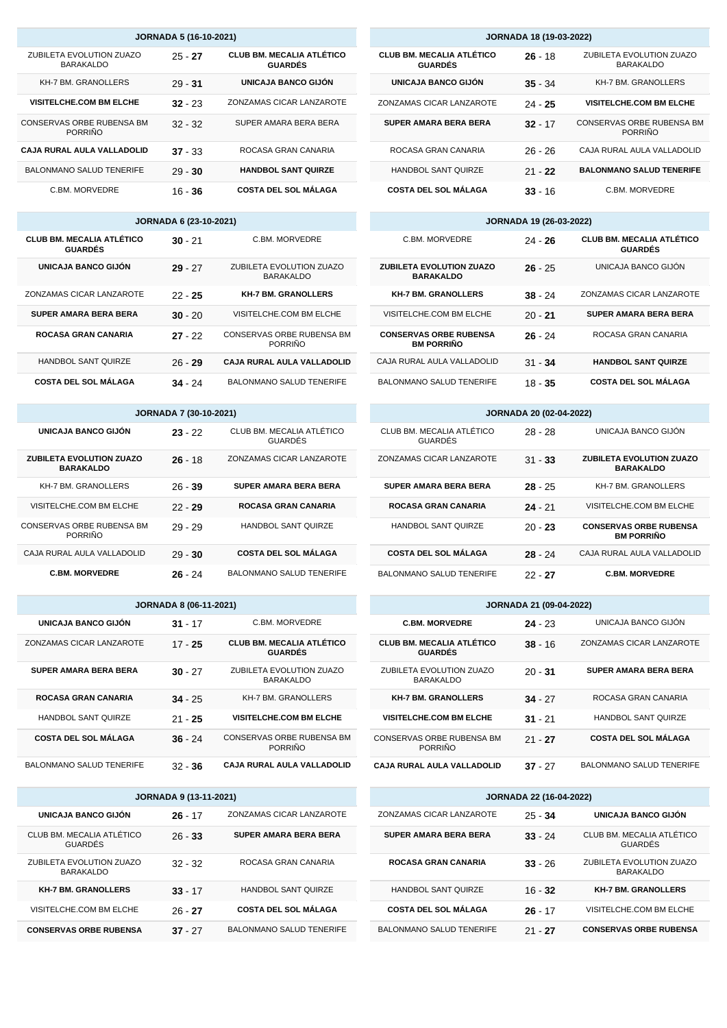| <b>JORNADA 18 (19-03-2022)</b>                     |           |                                              |  |  |
|----------------------------------------------------|-----------|----------------------------------------------|--|--|
| <b>CLUB BM. MECALIA ATLÉTICO</b><br><b>GUARDÉS</b> | $26 - 18$ | ZUBILETA EVOLUTION ZUAZO<br><b>BARAKALDO</b> |  |  |
| UNICAJA BANCO GIJÓN                                | $35 - 34$ | KH-7 BM. GRANOLLERS                          |  |  |
| ZONZAMAS CICAR LANZAROTE                           | $24 - 25$ | <b>VISITELCHE.COM BM ELCHE</b>               |  |  |
| SUPER AMARA BERA BERA                              | $32 - 17$ | CONSERVAS ORBE RUBENSA BM<br>PORRIÑO         |  |  |
| ROCASA GRAN CANARIA                                | $26 - 26$ | CAJA RURAL AULA VALLADOLID                   |  |  |
| <b>HANDBOL SANT QUIRZE</b>                         | $21 - 22$ | <b>BALONMANO SALUD TENERIFE</b>              |  |  |
| <b>COSTA DEL SOL MÁLAGA</b>                        | $33 - 16$ | C.BM. MORVEDRE                               |  |  |

| <b>JORNADA 19 (26-03-2022)</b>                      |           |                                                    |  |  |
|-----------------------------------------------------|-----------|----------------------------------------------------|--|--|
| C.BM. MORVEDRE                                      | $24 - 26$ | <b>CLUB BM. MECALIA ATLÉTICO</b><br><b>GUARDÉS</b> |  |  |
| <b>ZUBILETA EVOLUTION ZUAZO</b><br><b>BARAKALDO</b> | $26 - 25$ | UNICAJA BANCO GIJÓN                                |  |  |
| <b>KH-7 BM. GRANOLLERS</b>                          | $38 - 24$ | ZONZAMAS CICAR LANZAROTE                           |  |  |
| VISITELCHE.COM BM ELCHE                             | $20 - 21$ | <b>SUPER AMARA BERA BERA</b>                       |  |  |
| <b>CONSERVAS ORBE RUBENSA</b><br><b>BM PORRIÑO</b>  | $26 - 24$ | ROCASA GRAN CANARIA                                |  |  |
| CAJA RURAL AULA VALLADOLID                          | $31 - 34$ | <b>HANDBOL SANT QUIRZE</b>                         |  |  |
| BALONMANO SALUD TENERIFE                            | 18 - 35   | <b>COSTA DEL SOL MÁLAGA</b>                        |  |  |

| <b>JORNADA 20 (02-04-2022)</b>       |           |                                                    |  |  |
|--------------------------------------|-----------|----------------------------------------------------|--|--|
| CLUB BM. MECALIA ATLÉTICO<br>GUARDÉS | $28 - 28$ | UNICAJA BANCO GIJÓN                                |  |  |
| ZONZAMAS CICAR LANZAROTE             | $31 - 33$ | ZUBILETA EVOLUTION ZUAZO<br><b>BARAKALDO</b>       |  |  |
| <b>SUPER AMARA BERA BERA</b>         | $28 - 25$ | KH-7 BM. GRANOLLERS                                |  |  |
| <b>ROCASA GRAN CANARIA</b>           | $24 - 21$ | VISITELCHE.COM BM ELCHE                            |  |  |
| <b>HANDBOL SANT QUIRZE</b>           | $20 - 23$ | <b>CONSERVAS ORBE RUBENSA</b><br><b>BM PORRIÑO</b> |  |  |
| <b>COSTA DEL SOL MÁLAGA</b>          | $28 - 24$ | CAJA RURAL AULA VALLADOLID                         |  |  |
| <b>BALONMANO SALUD TENERIFE</b>      | 22 - 27   | <b>C.BM. MORVEDRE</b>                              |  |  |

| <b>JORNADA 21 (09-04-2022)</b>                     |           |                                 |  |
|----------------------------------------------------|-----------|---------------------------------|--|
| <b>C.BM. MORVEDRE</b>                              | $24 - 23$ | UNICAJA BANCO GIJÓN             |  |
| <b>CLUB BM. MECALIA ATLÉTICO</b><br><b>GUARDÉS</b> | $38 - 16$ | ZONZAMAS CICAR LANZAROTE        |  |
| ZUBILETA EVOLUTION ZUAZO<br><b>BARAKALDO</b>       | $20 - 31$ | <b>SUPER AMARA BERA BERA</b>    |  |
| <b>KH-7 BM. GRANOLLERS</b>                         | $34 - 27$ | ROCASA GRAN CANARIA             |  |
| <b>VISITELCHE.COM BM ELCHE</b>                     | $31 - 21$ | <b>HANDBOL SANT QUIRZE</b>      |  |
| CONSERVAS ORBE RUBENSA BM<br><b>PORRIÑO</b>        | $21 - 27$ | <b>COSTA DEL SOL MÁLAGA</b>     |  |
| <b>CAJA RURAL AULA VALLADOLID</b>                  | $37 - 27$ | <b>BALONMANO SALUD TENERIFE</b> |  |

|                                 | <b>JORNADA 22 (16-04-2022)</b> |                                              |
|---------------------------------|--------------------------------|----------------------------------------------|
| ZONZAMAS CICAR LANZAROTE        | $25 - 34$                      | UNICAJA BANCO GIJÓN                          |
| <b>SUPER AMARA BERA BERA</b>    | $33 - 24$                      | CLUB BM. MECALIA ATLÉTICO<br>GUARDÉS         |
| ROCASA GRAN CANARIA             | $33 - 26$                      | ZUBILETA EVOLUTION ZUAZO<br><b>BARAKALDO</b> |
| <b>HANDBOL SANT QUIRZE</b>      | $16 - 32$                      | <b>KH-7 BM. GRANOLLERS</b>                   |
| <b>COSTA DEL SOL MÁLAGA</b>     | $26 - 17$                      | VISITELCHE.COM BM ELCHE                      |
| <b>BALONMANO SALUD TENERIFE</b> | $21 - 27$                      | <b>CONSERVAS ORBE RUBENSA</b>                |

|                                              | <b>JORNADA 5 (16-10-2021)</b> |                                                    |    |
|----------------------------------------------|-------------------------------|----------------------------------------------------|----|
| ZUBILETA EVOLUTION ZUAZO<br><b>BARAKALDO</b> | $25 - 27$                     | <b>CLUB BM. MECALIA ATLÉTICO</b><br><b>GUARDÉS</b> | СL |
| <b>KH-7 BM. GRANOLLERS</b>                   | $29 - 31$                     | UNICAJA BANCO GIJÓN                                |    |
| <b>VISITELCHE.COM BM ELCHE</b>               | $32 - 23$                     | ZONZAMAS CICAR LANZAROTE                           | ZO |
| CONSERVAS ORBE RUBENSA BM<br><b>PORRIÑO</b>  | $32 - 32$                     | SUPER AMARA BERA BERA                              | S  |
| CAJA RURAL AULA VALLADOLID                   | $37 - 33$                     | ROCASA GRAN CANARIA                                |    |
| <b>BALONMANO SALUD TENERIFE</b>              | $29 - 30$                     | <b>HANDBOL SANT QUIRZE</b>                         |    |
| C.BM. MORVEDRE                               | $16 - 36$                     | <b>COSTA DEL SOL MÁLAGA</b>                        |    |

|                                                    | <b>JORNADA 6 (23-10-2021)</b> |                                              |  |
|----------------------------------------------------|-------------------------------|----------------------------------------------|--|
| <b>CLUB BM. MECALIA ATLÉTICO</b><br><b>GUARDÉS</b> | $30 - 21$                     | C.BM. MORVEDRE                               |  |
| UNICAJA BANCO GIJÓN                                | $29 - 27$                     | ZUBILETA EVOLUTION ZUAZO<br><b>BARAKALDO</b> |  |
| ZONZAMAS CICAR LANZAROTE                           | $22 - 25$                     | <b>KH-7 BM. GRANOLLERS</b>                   |  |
| <b>SUPER AMARA BERA BERA</b>                       | $30 - 20$                     | VISITELCHE.COM BM ELCHE                      |  |
| <b>ROCASA GRAN CANARIA</b>                         | $27 - 22$                     | CONSERVAS ORBE RUBENSA BM<br><b>PORRIÑO</b>  |  |
| HANDBOL SANT QUIRZE                                | $26 - 29$                     | <b>CAJA RURAL AULA VALLADOLID</b>            |  |
| <b>COSTA DEL SOL MÁLAGA</b>                        | 34.24                         | <b>BALONMANO SALUD TENERIFE</b>              |  |

| <b>JORNADA 7 (30-10-2021)</b>                       |           |                                      |  |  |
|-----------------------------------------------------|-----------|--------------------------------------|--|--|
| UNICAJA BANCO GLIÓN                                 | $23 - 22$ | CLUB BM. MECALIA ATLÉTICO<br>GUARDÉS |  |  |
| <b>ZUBILETA EVOLUTION ZUAZO</b><br><b>BARAKALDO</b> | $26 - 18$ | ZONZAMAS CICAR LANZAROTE             |  |  |
| <b>KH-7 BM. GRANOLLERS</b>                          | $26 - 39$ | <b>SUPER AMARA BERA BERA</b>         |  |  |
| VISITELCHE.COM BM ELCHE                             | $22 - 29$ | <b>ROCASA GRAN CANARIA</b>           |  |  |
| CONSERVAS ORBE RUBENSA BM<br><b>PORRIÑO</b>         | $29 - 29$ | <b>HANDBOL SANT QUIRZE</b>           |  |  |
| CAJA RURAL AULA VALLADOLID                          | $29 - 30$ | <b>COSTA DEL SOL MÁLAGA</b>          |  |  |
| <b>C.BM. MORVEDRE</b>                               | $26 - 24$ | <b>BALONMANO SALUD TENERIFE</b>      |  |  |

| JORNADA 8 (06-11-2021) |  |  |
|------------------------|--|--|

| C BM MORVEDRE                                      | $31 - 17$ | UNICAJA BANCO GIJÓN             |
|----------------------------------------------------|-----------|---------------------------------|
| <b>CLUB BM. MECALIA ATLÉTICO</b><br><b>GUARDÉS</b> | $17 - 25$ | ZONZAMAS CICAR LANZAROTE        |
| ZUBILETA EVOLUTION ZUAZO<br><b>BARAKALDO</b>       | $30 - 27$ | <b>SUPER AMARA BERA BERA</b>    |
| KH-7 BM. GRANOLLERS                                | $34 - 25$ | <b>ROCASA GRAN CANARIA</b>      |
| <b>VISITELCHE.COM BM ELCHE</b>                     | $21 - 25$ | <b>HANDBOL SANT QUIRZE</b>      |
| CONSERVAS ORBE RUBENSA BM<br><b>PORRIÑO</b>        | $36 - 24$ | <b>COSTA DEL SOL MÁLAGA</b>     |
| CAJA RURAL AULA VALLADOLID                         | $32 - 36$ | <b>BALONMANO SALUD TENERIFE</b> |

| <b>JORNADA 9 (13-11-2021)</b>                |           |                                 |  |
|----------------------------------------------|-----------|---------------------------------|--|
| UNICAJA BANCO GIJÓN                          | $26 - 17$ | ZONZAMAS CICAR LANZAROTE        |  |
| CLUB BM. MECALIA ATLÉTICO<br><b>GUARDÉS</b>  | $26 - 33$ | <b>SUPER AMARA BERA BERA</b>    |  |
| ZUBILETA EVOLUTION ZUAZO<br><b>BARAKALDO</b> | $32 - 32$ | ROCASA GRAN CANARIA             |  |
| <b>KH-7 BM. GRANOLLERS</b>                   | $33 - 17$ | <b>HANDBOL SANT QUIRZE</b>      |  |
| VISITELCHE.COM BM ELCHE                      | $26 - 27$ | <b>COSTA DEL SOL MÁLAGA</b>     |  |
| <b>CONSERVAS ORBE RUBENSA</b>                | $37 - 27$ | <b>BALONMANO SALUD TENERIFE</b> |  |